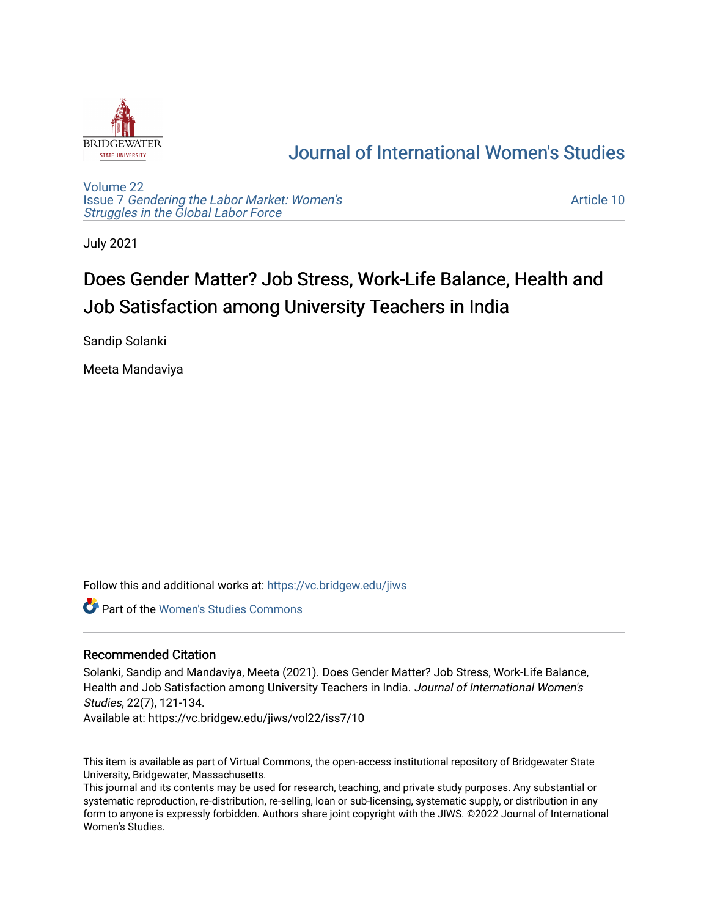

## [Journal of International Women's Studies](https://vc.bridgew.edu/jiws)

[Volume 22](https://vc.bridgew.edu/jiws/vol22) Issue 7 [Gendering the Labor Market: Women's](https://vc.bridgew.edu/jiws/vol22/iss7) [Struggles in the Global Labor Force](https://vc.bridgew.edu/jiws/vol22/iss7)

[Article 10](https://vc.bridgew.edu/jiws/vol22/iss7/10) 

July 2021

# Does Gender Matter? Job Stress, Work-Life Balance, Health and Job Satisfaction among University Teachers in India

Sandip Solanki

Meeta Mandaviya

Follow this and additional works at: [https://vc.bridgew.edu/jiws](https://vc.bridgew.edu/jiws?utm_source=vc.bridgew.edu%2Fjiws%2Fvol22%2Fiss7%2F10&utm_medium=PDF&utm_campaign=PDFCoverPages)

Part of the [Women's Studies Commons](http://network.bepress.com/hgg/discipline/561?utm_source=vc.bridgew.edu%2Fjiws%2Fvol22%2Fiss7%2F10&utm_medium=PDF&utm_campaign=PDFCoverPages) 

#### Recommended Citation

Solanki, Sandip and Mandaviya, Meeta (2021). Does Gender Matter? Job Stress, Work-Life Balance, Health and Job Satisfaction among University Teachers in India. Journal of International Women's Studies, 22(7), 121-134.

Available at: https://vc.bridgew.edu/jiws/vol22/iss7/10

This item is available as part of Virtual Commons, the open-access institutional repository of Bridgewater State University, Bridgewater, Massachusetts.

This journal and its contents may be used for research, teaching, and private study purposes. Any substantial or systematic reproduction, re-distribution, re-selling, loan or sub-licensing, systematic supply, or distribution in any form to anyone is expressly forbidden. Authors share joint copyright with the JIWS. ©2022 Journal of International Women's Studies.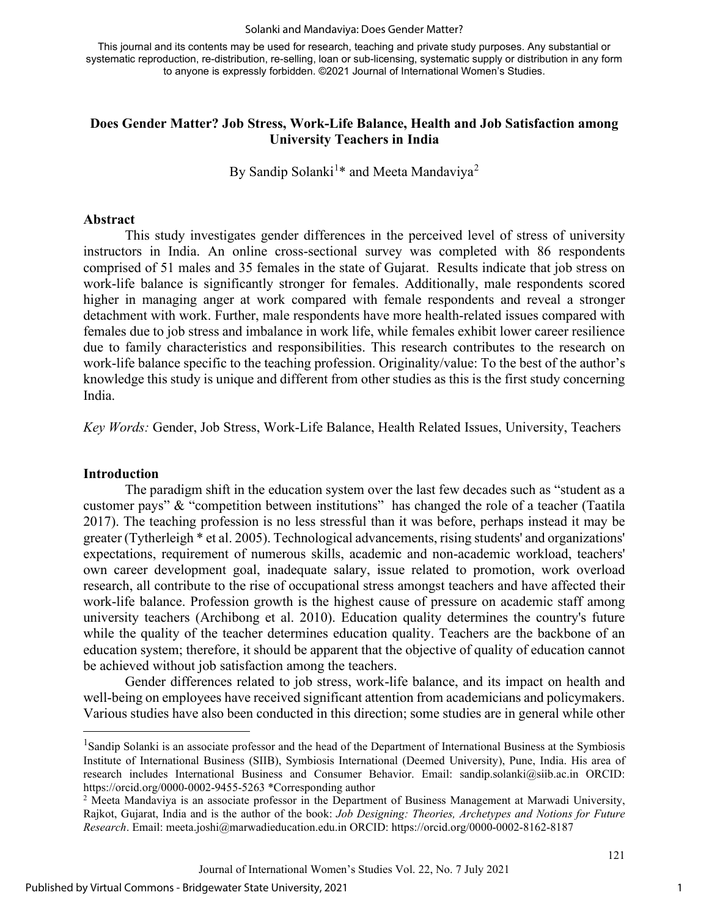#### Solanki and Mandaviya: Does Gender Matter?

This journal and its contents may be used for research, teaching and private study purposes. Any substantial or systematic reproduction, re-distribution, re-selling, loan or sub-licensing, systematic supply or distribution in any form to anyone is expressly forbidden. ©2021 Journal of International Women's Studies.

#### **Does Gender Matter? Job Stress, Work-Life Balance, Health and Job Satisfaction among University Teachers in India**

By Sandip Solanki<sup>[1](#page-1-0)\*</sup> and Meeta Mandaviya<sup>[2](#page-1-1)</sup>

#### **Abstract**

This study investigates gender differences in the perceived level of stress of university instructors in India. An online cross-sectional survey was completed with 86 respondents comprised of 51 males and 35 females in the state of Gujarat. Results indicate that job stress on work-life balance is significantly stronger for females. Additionally, male respondents scored higher in managing anger at work compared with female respondents and reveal a stronger detachment with work. Further, male respondents have more health-related issues compared with females due to job stress and imbalance in work life, while females exhibit lower career resilience due to family characteristics and responsibilities. This research contributes to the research on work-life balance specific to the teaching profession. Originality/value: To the best of the author's knowledge this study is unique and different from other studies as this is the first study concerning India.

*Key Words:* Gender, Job Stress, Work-Life Balance, Health Related Issues, University, Teachers

#### **Introduction**

The paradigm shift in the education system over the last few decades such as "student as a customer pays" & "competition between institutions" has changed the role of a teacher (Taatila 2017). The teaching profession is no less stressful than it was before, perhaps instead it may be greater (Tytherleigh \* et al. 2005). Technological advancements, rising students' and organizations' expectations, requirement of numerous skills, academic and non-academic workload, teachers' own career development goal, inadequate salary, issue related to promotion, work overload research, all contribute to the rise of occupational stress amongst teachers and have affected their work-life balance. Profession growth is the highest cause of pressure on academic staff among university teachers (Archibong et al. 2010). Education quality determines the country's future while the quality of the teacher determines education quality. Teachers are the backbone of an education system; therefore, it should be apparent that the objective of quality of education cannot be achieved without job satisfaction among the teachers.

Gender differences related to job stress, work-life balance, and its impact on health and well-being on employees have received significant attention from academicians and policymakers. Various studies have also been conducted in this direction; some studies are in general while other

1

<span id="page-1-0"></span><sup>&</sup>lt;sup>1</sup>Sandip Solanki is an associate professor and the head of the Department of International Business at the Symbiosis Institute of International Business (SIIB), Symbiosis International (Deemed University), Pune, India. His area of research includes International Business and Consumer Behavior. Email: [sandip.solanki@siib.ac.in](mailto:sandip.solanki@siib.ac.in) ORCID: <https://orcid.org/0000-0002-9455-5263> \*Corresponding author

<span id="page-1-1"></span><sup>&</sup>lt;sup>2</sup> Meeta Mandaviya is an associate professor in the Department of Business Management at Marwadi University, Rajkot, Gujarat, India and is the author of the book: *Job Designing: Theories, Archetypes and Notions for Future Research*. Email: [meeta.joshi@marwadieducation.edu.in](mailto:meeta.joshi@marwadieducation.edu.in) ORCID: <https://orcid.org/0000-0002-8162-8187>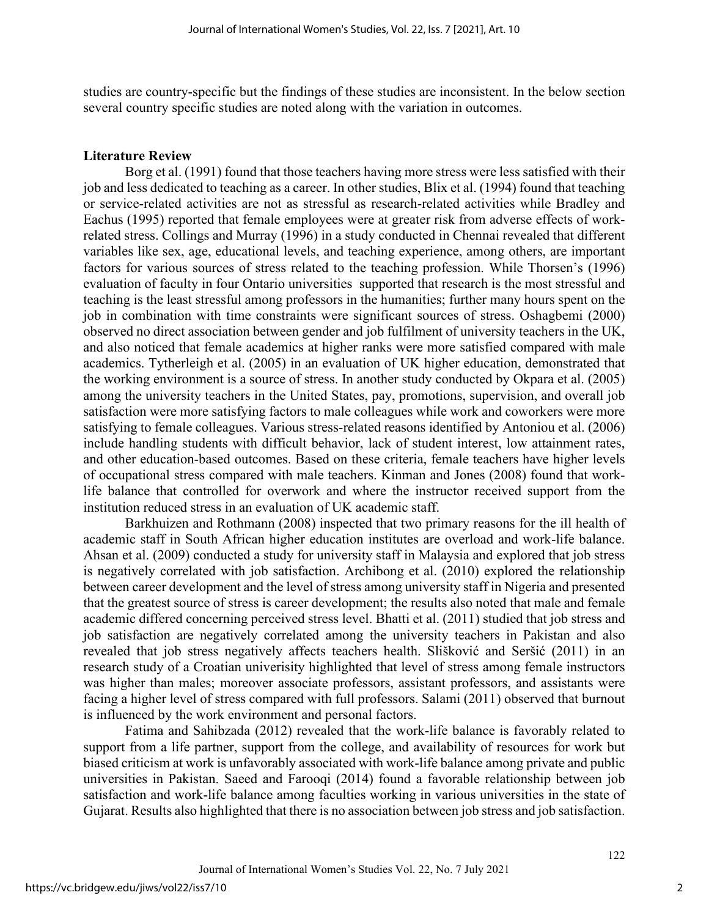studies are country-specific but the findings of these studies are inconsistent. In the below section several country specific studies are noted along with the variation in outcomes.

#### **Literature Review**

Borg et al. (1991) found that those teachers having more stress were less satisfied with their job and less dedicated to teaching as a career. In other studies, Blix et al. (1994) found that teaching or service-related activities are not as stressful as research-related activities while Bradley and Eachus (1995) reported that female employees were at greater risk from adverse effects of workrelated stress. Collings and Murray (1996) in a study conducted in Chennai revealed that different variables like sex, age, educational levels, and teaching experience, among others, are important factors for various sources of stress related to the teaching profession. While Thorsen's (1996) evaluation of faculty in four Ontario universities supported that research is the most stressful and teaching is the least stressful among professors in the humanities; further many hours spent on the job in combination with time constraints were significant sources of stress. Oshagbemi (2000) observed no direct association between gender and job fulfilment of university teachers in the UK, and also noticed that female academics at higher ranks were more satisfied compared with male academics. Tytherleigh et al. (2005) in an evaluation of UK higher education, demonstrated that the working environment is a source of stress. In another study conducted by Okpara et al. (2005) among the university teachers in the United States, pay, promotions, supervision, and overall job satisfaction were more satisfying factors to male colleagues while work and coworkers were more satisfying to female colleagues. Various stress-related reasons identified by Antoniou et al. (2006) include handling students with difficult behavior, lack of student interest, low attainment rates, and other education-based outcomes. Based on these criteria, female teachers have higher levels of occupational stress compared with male teachers. Kinman and Jones (2008) found that worklife balance that controlled for overwork and where the instructor received support from the institution reduced stress in an evaluation of UK academic staff.

Barkhuizen and Rothmann (2008) inspected that two primary reasons for the ill health of academic staff in South African higher education institutes are overload and work-life balance. Ahsan et al. (2009) conducted a study for university staff in Malaysia and explored that job stress is negatively correlated with job satisfaction. Archibong et al. (2010) explored the relationship between career development and the level of stress among university staff in Nigeria and presented that the greatest source of stress is career development; the results also noted that male and female academic differed concerning perceived stress level. Bhatti et al. (2011) studied that job stress and job satisfaction are negatively correlated among the university teachers in Pakistan and also revealed that job stress negatively affects teachers health. Slišković and Seršić (2011) in an research study of a Croatian univerisity highlighted that level of stress among female instructors was higher than males; moreover associate professors, assistant professors, and assistants were facing a higher level of stress compared with full professors. Salami (2011) observed that burnout is influenced by the work environment and personal factors.

Fatima and Sahibzada (2012) revealed that the work-life balance is favorably related to support from a life partner, support from the college, and availability of resources for work but biased criticism at work is unfavorably associated with work-life balance among private and public universities in Pakistan. Saeed and Farooqi (2014) found a favorable relationship between job satisfaction and work-life balance among faculties working in various universities in the state of Gujarat. Results also highlighted that there is no association between job stress and job satisfaction.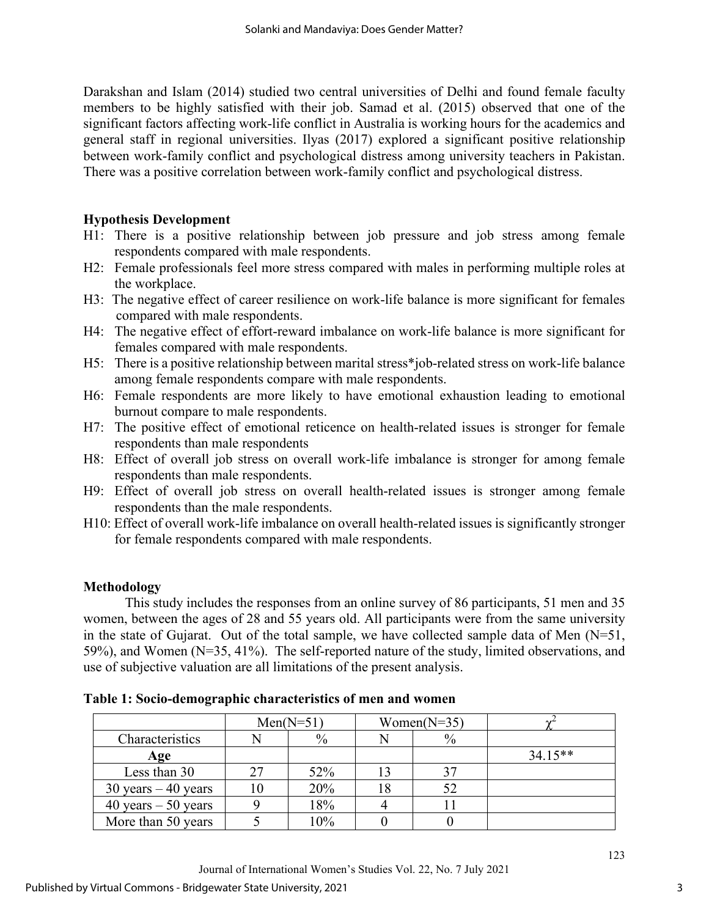Darakshan and Islam (2014) studied two central universities of Delhi and found female faculty members to be highly satisfied with their job. Samad et al. (2015) observed that one of the significant factors affecting work-life conflict in Australia is working hours for the academics and general staff in regional universities. Ilyas (2017) explored a significant positive relationship between work-family conflict and psychological distress among university teachers in Pakistan. There was a positive correlation between work-family conflict and psychological distress.

### **Hypothesis Development**

- H1: There is a positive relationship between job pressure and job stress among female respondents compared with male respondents.
- H2: Female professionals feel more stress compared with males in performing multiple roles at the workplace.
- H3: The negative effect of career resilience on work-life balance is more significant for females compared with male respondents.
- H4: The negative effect of effort-reward imbalance on work-life balance is more significant for females compared with male respondents.
- H5: There is a positive relationship between marital stress\*job-related stress on work-life balance among female respondents compare with male respondents.
- H6: Female respondents are more likely to have emotional exhaustion leading to emotional burnout compare to male respondents.
- H7: The positive effect of emotional reticence on health-related issues is stronger for female respondents than male respondents
- H8: Effect of overall job stress on overall work-life imbalance is stronger for among female respondents than male respondents.
- H9: Effect of overall job stress on overall health-related issues is stronger among female respondents than the male respondents.
- H10: Effect of overall work-life imbalance on overall health-related issues is significantly stronger for female respondents compared with male respondents.

## **Methodology**

This study includes the responses from an online survey of 86 participants, 51 men and 35 women, between the ages of 28 and 55 years old. All participants were from the same university in the state of Gujarat. Out of the total sample, we have collected sample data of Men  $(N=51, 1)$ 59%), and Women (N=35, 41%). The self-reported nature of the study, limited observations, and use of subjective valuation are all limitations of the present analysis.

|                        | $Men(N=51)$<br>Women( $N=35$ ) |               |  |      |           |
|------------------------|--------------------------------|---------------|--|------|-----------|
| Characteristics        |                                | $\frac{0}{0}$ |  | $\%$ |           |
| Age                    |                                |               |  |      | $34.15**$ |
| Less than 30           |                                | 52%           |  |      |           |
| $30$ years $-40$ years |                                | 20%           |  |      |           |
| 40 years $-50$ years   |                                | 18%           |  |      |           |
| More than 50 years     |                                | 10%           |  |      |           |

**Table 1: Socio-demographic characteristics of men and women**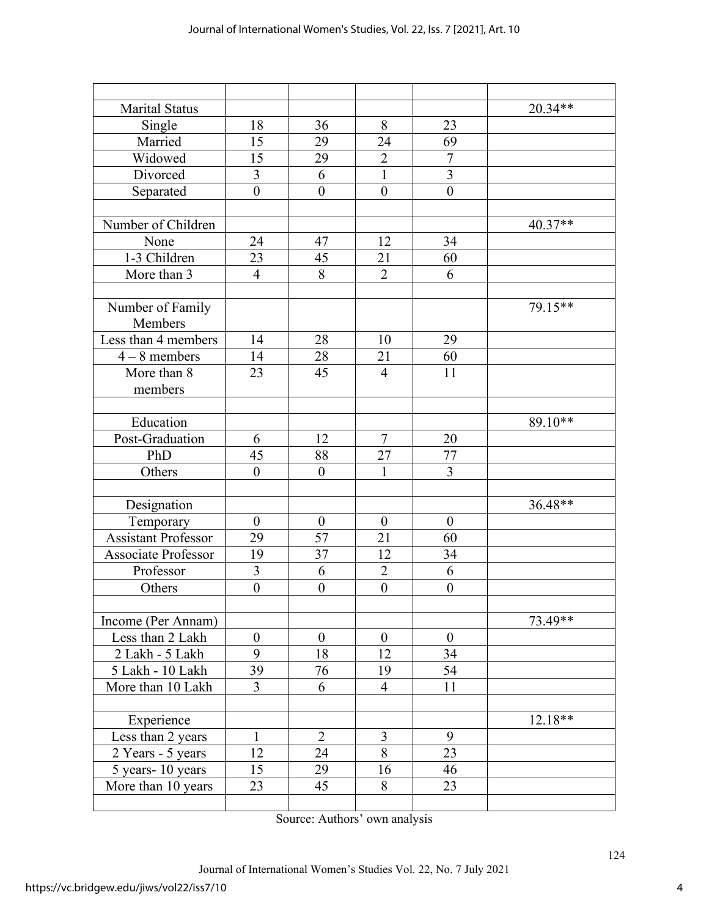| <b>Marital Status</b>      |                  |                  |                  |                  | 20.34**   |
|----------------------------|------------------|------------------|------------------|------------------|-----------|
| Single                     | 18               | 36               | 8                | 23               |           |
| Married                    | 15               | 29               | 24               | 69               |           |
| Widowed                    | 15               | 29               | $\overline{2}$   | $\overline{7}$   |           |
| Divorced                   | 3                | 6                | $\mathbf{1}$     | $\overline{3}$   |           |
| Separated                  | $\overline{0}$   | $\mathbf{0}$     | $\mathbf{0}$     | $\overline{0}$   |           |
|                            |                  |                  |                  |                  |           |
| Number of Children         |                  |                  |                  |                  | 40.37**   |
| None                       | 24               | 47               | 12               | 34               |           |
| 1-3 Children               | 23               | 45               | 21               | 60               |           |
| More than 3                | $\overline{4}$   | 8                | $\overline{2}$   | 6                |           |
|                            |                  |                  |                  |                  |           |
| Number of Family           |                  |                  |                  |                  | 79.15**   |
| Members                    |                  |                  |                  |                  |           |
| Less than 4 members        | 14               | 28               | 10               | 29               |           |
| $4-8$ members              | 14               | 28               | 21               | 60               |           |
| More than 8                | 23               | 45               | $\overline{4}$   | 11               |           |
| members                    |                  |                  |                  |                  |           |
|                            |                  |                  |                  |                  |           |
| Education                  |                  |                  |                  |                  | 89.10**   |
| Post-Graduation            | 6                | 12               | $\tau$           | 20               |           |
| PhD                        | 45               | 88               | 27               | 77               |           |
| Others                     | $\boldsymbol{0}$ | $\boldsymbol{0}$ | 1                | $\overline{3}$   |           |
|                            |                  |                  |                  |                  |           |
| Designation                |                  |                  |                  |                  | 36.48**   |
| Temporary                  | $\boldsymbol{0}$ | $\boldsymbol{0}$ | $\boldsymbol{0}$ | $\boldsymbol{0}$ |           |
| <b>Assistant Professor</b> | 29               | 57               | 21               | 60               |           |
| Associate Professor        | 19               | 37               | 12               | 34               |           |
| Professor                  | $\overline{3}$   | 6                | $\overline{2}$   | 6                |           |
| Others                     | $\overline{0}$   | $\mathbf{0}$     | $\boldsymbol{0}$ | $\overline{0}$   |           |
|                            |                  |                  |                  |                  |           |
| Income (Per Annam)         |                  |                  |                  |                  | 73.49**   |
| Less than 2 Lakh           | $\boldsymbol{0}$ | $\boldsymbol{0}$ | $\boldsymbol{0}$ | $\boldsymbol{0}$ |           |
| 2 Lakh - 5 Lakh            | 9                | 18               | 12               | 34               |           |
| 5 Lakh - 10 Lakh           | 39               | 76               | 19               | 54               |           |
| More than 10 Lakh          | 3                | 6                | $\overline{4}$   | 11               |           |
|                            |                  |                  |                  |                  |           |
| Experience                 |                  |                  |                  |                  | $12.18**$ |
| Less than 2 years          | $\mathbf{1}$     | $\overline{2}$   | 3                | 9                |           |
| 2 Years - 5 years          | 12               | 24               | 8                | 23               |           |
| 5 years-10 years           | 15               | 29               | 16               | 46               |           |
| More than 10 years         | 23               | 45               | 8                | 23               |           |
|                            |                  |                  |                  |                  |           |

Source: Authors' own analysis

Journal of International Women's Studies Vol. 22, No. 7 July 2021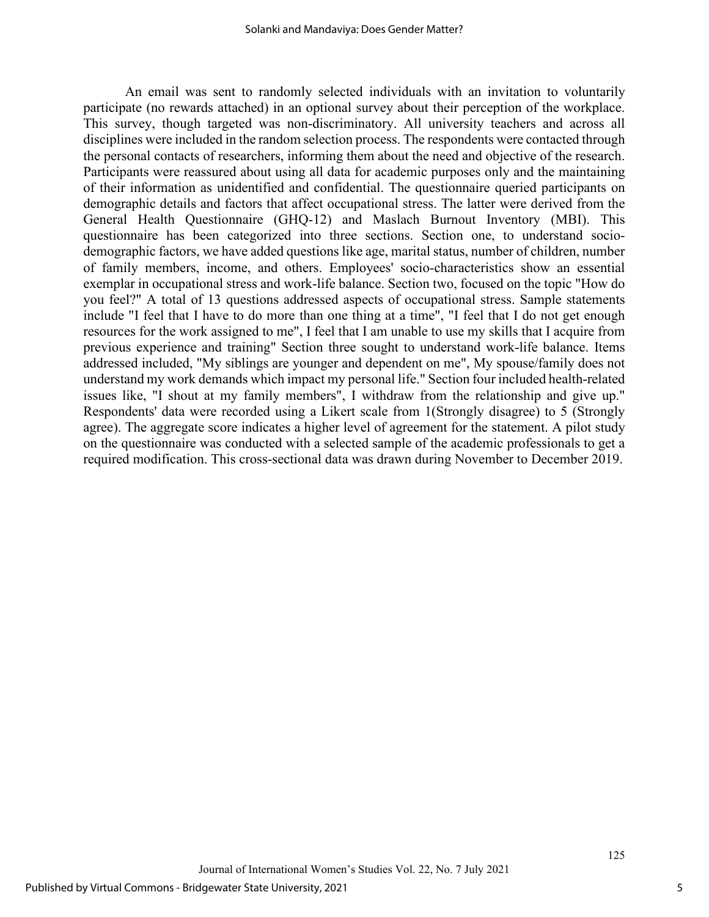An email was sent to randomly selected individuals with an invitation to voluntarily participate (no rewards attached) in an optional survey about their perception of the workplace. This survey, though targeted was non-discriminatory. All university teachers and across all disciplines were included in the random selection process. The respondents were contacted through the personal contacts of researchers, informing them about the need and objective of the research. Participants were reassured about using all data for academic purposes only and the maintaining of their information as unidentified and confidential. The questionnaire queried participants on demographic details and factors that affect occupational stress. The latter were derived from the General Health Questionnaire (GHQ-12) and Maslach Burnout Inventory (MBI). This questionnaire has been categorized into three sections. Section one, to understand sociodemographic factors, we have added questions like age, marital status, number of children, number of family members, income, and others. Employees' socio-characteristics show an essential exemplar in occupational stress and work-life balance. Section two, focused on the topic "How do you feel?" A total of 13 questions addressed aspects of occupational stress. Sample statements include "I feel that I have to do more than one thing at a time", "I feel that I do not get enough resources for the work assigned to me", I feel that I am unable to use my skills that I acquire from previous experience and training" Section three sought to understand work-life balance. Items addressed included, "My siblings are younger and dependent on me", My spouse/family does not understand my work demands which impact my personal life." Section four included health-related issues like, "I shout at my family members", I withdraw from the relationship and give up." Respondents' data were recorded using a Likert scale from 1(Strongly disagree) to 5 (Strongly agree). The aggregate score indicates a higher level of agreement for the statement. A pilot study on the questionnaire was conducted with a selected sample of the academic professionals to get a required modification. This cross-sectional data was drawn during November to December 2019.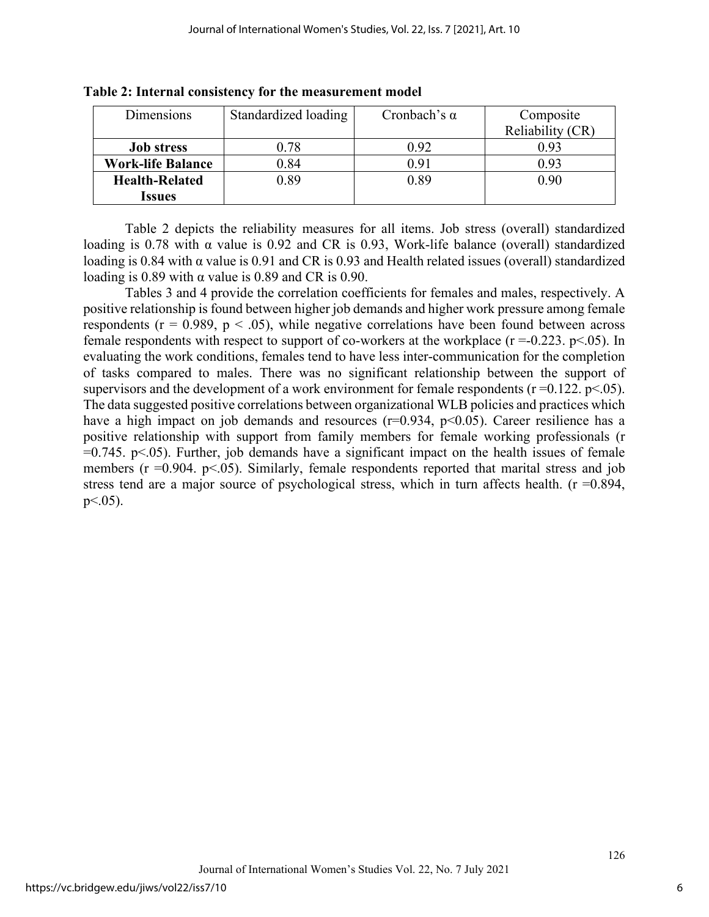| Dimensions               | Standardized loading | Cronbach's $\alpha$ | Composite        |  |  |
|--------------------------|----------------------|---------------------|------------------|--|--|
|                          |                      |                     | Reliability (CR) |  |  |
| <b>Job stress</b>        | 0.78                 | 0.92                | 0.93             |  |  |
| <b>Work-life Balance</b> | 0.84                 | 0.91                | 0.93             |  |  |
| <b>Health-Related</b>    | 0.89                 | 0.89                | 0.90             |  |  |
| Issues                   |                      |                     |                  |  |  |

**Table 2: Internal consistency for the measurement model**

Table 2 depicts the reliability measures for all items. Job stress (overall) standardized loading is 0.78 with α value is 0.92 and CR is 0.93, Work-life balance (overall) standardized loading is 0.84 with α value is 0.91 and CR is 0.93 and Health related issues (overall) standardized loading is 0.89 with  $\alpha$  value is 0.89 and CR is 0.90.

Tables 3 and 4 provide the correlation coefficients for females and males, respectively. A positive relationship is found between higher job demands and higher work pressure among female respondents ( $r = 0.989$ ,  $p < .05$ ), while negative correlations have been found between across female respondents with respect to support of co-workers at the workplace  $(r = 0.223, p < 0.05)$ . In evaluating the work conditions, females tend to have less inter-communication for the completion of tasks compared to males. There was no significant relationship between the support of supervisors and the development of a work environment for female respondents ( $r = 0.122$ .  $p < .05$ ). The data suggested positive correlations between organizational WLB policies and practices which have a high impact on job demands and resources  $(r=0.934, p<0.05)$ . Career resilience has a positive relationship with support from family members for female working professionals (r  $=0.745$ . p $\leq 0.05$ ). Further, job demands have a significant impact on the health issues of female members ( $r = 0.904$ .  $p < 0.05$ ). Similarly, female respondents reported that marital stress and job stress tend are a major source of psychological stress, which in turn affects health. ( $r = 0.894$ ,  $p<.05$ ).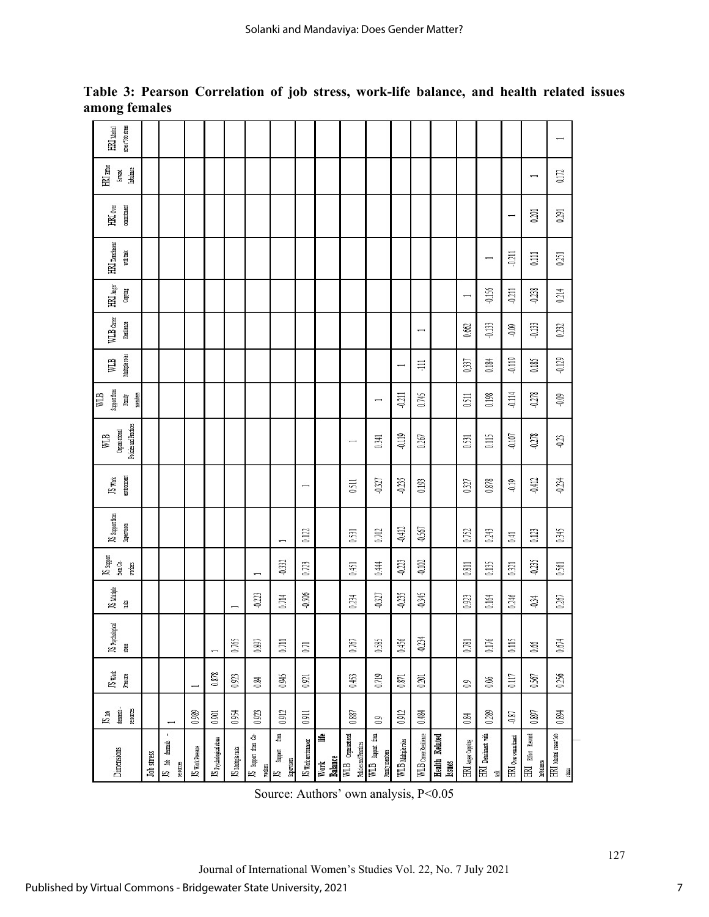| stress*Job stress<br>$HRI$ $M$                         |                   |                                      |                          |                         |                   |                                    |                                     |                          |                      |                                              |                                    |                    |                          |                                |                   |                                                |                          |                                | $\overline{\phantom{0}}$                         |
|--------------------------------------------------------|-------------------|--------------------------------------|--------------------------|-------------------------|-------------------|------------------------------------|-------------------------------------|--------------------------|----------------------|----------------------------------------------|------------------------------------|--------------------|--------------------------|--------------------------------|-------------------|------------------------------------------------|--------------------------|--------------------------------|--------------------------------------------------|
| HRI Effer<br>Imbalance<br>Reward                       |                   |                                      |                          |                         |                   |                                    |                                     |                          |                      |                                              |                                    |                    |                          |                                |                   |                                                |                          | $\overline{\phantom{0}}$       | 0.172                                            |
| commitment<br>HRI <sub>Ore</sub>                       |                   |                                      |                          |                         |                   |                                    |                                     |                          |                      |                                              |                                    |                    |                          |                                |                   |                                                | $\overline{\phantom{0}}$ | 0.201                          | 0.291                                            |
| $HRI$ Detachment<br>with task                          |                   |                                      |                          |                         |                   |                                    |                                     |                          |                      |                                              |                                    |                    |                          |                                |                   |                                                | $-0.211$                 | 0.111                          | 0.251                                            |
| $\mathbb{H} \mathbb{U}$ Anger<br>Copying               |                   |                                      |                          |                         |                   |                                    |                                     |                          |                      |                                              |                                    |                    |                          |                                |                   | $-0.156$                                       | $-0.211$                 | $-0.238$                       | 0.214                                            |
| WLB caree<br>Resilience                                |                   |                                      |                          |                         |                   |                                    |                                     |                          |                      |                                              |                                    |                    | $\overline{\phantom{0}}$ |                                | 0.662             | $-0.133$                                       | $-0.09$                  | $-0.133$                       | 0.232                                            |
| Multiple roles<br>WLB                                  |                   |                                      |                          |                         |                   |                                    |                                     |                          |                      |                                              |                                    |                    | 丰                        |                                | 0,337             | 0.184                                          | $-0.119$                 | 0.185                          | $-0.129$                                         |
| Support from<br>WLB<br>members<br>Family               |                   |                                      |                          |                         |                   |                                    |                                     |                          |                      |                                              | $\overline{\phantom{0}}$           | $-0.211$           | 0.745                    |                                | 0.511             | 0.198                                          | $-0.114$                 | $-0.278$                       | $-0.09$                                          |
| <b>Policies and Practices</b><br>Organisational<br>WLB |                   |                                      |                          |                         |                   |                                    |                                     |                          |                      | $\overline{\phantom{0}}$                     | 0.341                              | $-0.119$           | 0.267                    |                                | 0.531             | 0.115                                          | $-0.107$                 | $-0.278$                       | $-0.23$                                          |
| environment<br>JS work                                 |                   |                                      |                          |                         |                   |                                    |                                     | $\overline{\phantom{0}}$ |                      | 0.511                                        | $-0.327$                           | $-0.235$           | 0.193                    |                                | 0.327             | 0.878                                          | $-0.19$                  | $-0.412$                       | $-0.234$                                         |
| JS support from<br>Supervisors                         |                   |                                      |                          |                         |                   |                                    |                                     | 0.122                    |                      | 0.531                                        | 0.702                              | $-0.412$           | $-0.567$                 |                                | 0.752             | 0.243                                          | 0.41                     | 0.123                          | 0.345                                            |
| JS support<br>from Co-<br>workers                      |                   |                                      |                          |                         |                   |                                    | -0.332                              | 0.723                    |                      | 0.451                                        | 0.444                              | $-0.223$           | $-0.102$                 |                                | 0.811             | 0.135                                          | 0.321                    | $-0.235$                       | 0.561                                            |
| JS Multiple<br>tais                                    |                   |                                      |                          |                         |                   | $-0.223$                           | 0.714                               | $-0.506$                 |                      | 0.234                                        | $-0.327$                           | $-0.235$           | $-0.345$                 |                                | 0.923             | 0.164                                          | 0.246                    | $-0.34$                        | 0.267                                            |
| JS Psychological<br>ğ                                  |                   |                                      |                          |                         | 0.765             | 0.897                              | 0.711                               | 0.71                     |                      | 0.767                                        | 0.585                              | 0.456              | $-0.234$                 |                                | 0.781             | 0.176                                          | 0.115                    | 0.66                           | 0.674                                            |
| JS Work<br>Pressure                                    |                   |                                      | $\overline{\phantom{0}}$ | 0.878                   | 0.923             | 0.84                               | 0.945                               | 0.921                    |                      | 0.453                                        | 0.719                              | 0.871              | 0.201                    |                                | $\overline{0}$    | 0.06                                           | 0.117                    | 0.567                          | 0.256                                            |
| demands-<br>resources<br>$JS$ Job                      |                   | $\overline{\phantom{0}}$             | 0.989                    | 0.901                   | 0.954             | 0.923                              | 0.912                               | 0.911                    |                      | 0.887                                        | $\overline{0}$                     | 0.912              | 0.484                    |                                | 0.84              | 0.289                                          | $-0.87$                  | 0.897                          | 0.894                                            |
| Dimensions                                             | <b>Job</b> stress | ×,<br>demands<br>JS Job<br>resources | JS Work Pressure         | JS psychological stress | JS Multiple tasks | కి<br>JS Support from (<br>workers | from<br>Support<br>Supervisors<br>k | JS Work environment      | 詣<br>Work<br>Balance | WLB Organisational<br>Policies and Practices | WLB support from<br>Family members | WLB Multiple roles | WLB CarerRenlience       | <b>Health Related</b><br>Isues | HRI Anger Copying | HRI Detachment with<br>$\overline{\mathbb{R}}$ | HRI over commitment      | HRI Effort Reward<br>Imbalance | $H\!N$ Marital stress <sup>4</sup> Job<br>stress |

**Table 3: Pearson Correlation of job stress, work-life balance, and health related issues among females** 

Source: Authors' own analysis, P<0.05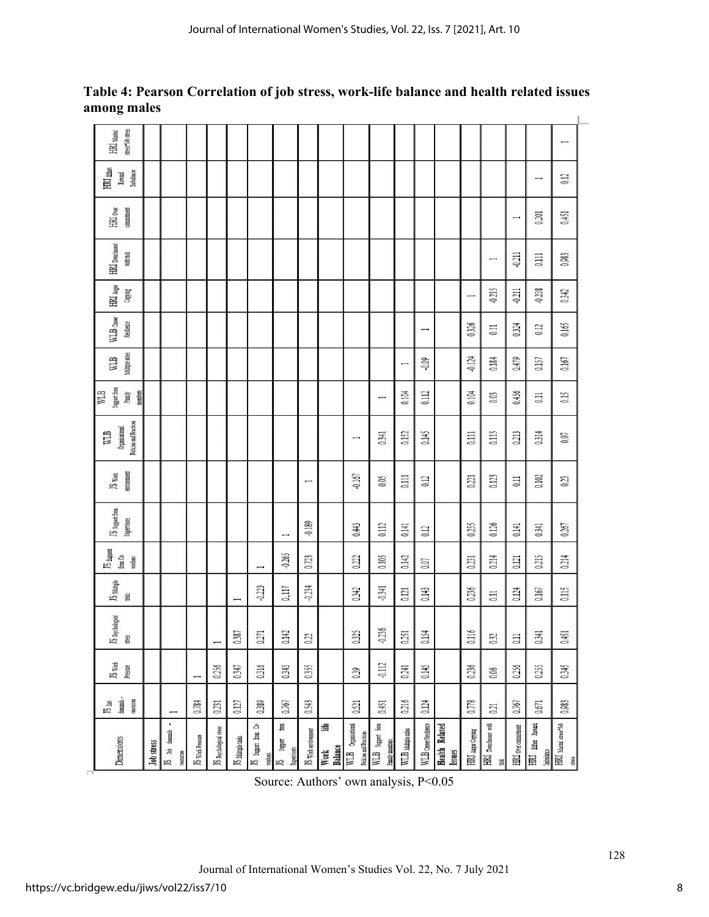| stress*Job stress<br>HRI Marital                       |                   |                                   |                  |                         |                          |                                   |                                    |                     |                                |                                              |                                            |                          |                          |                                 |                   |                          |                     |                               | $\overline{\phantom{a}}$      |
|--------------------------------------------------------|-------------------|-----------------------------------|------------------|-------------------------|--------------------------|-----------------------------------|------------------------------------|---------------------|--------------------------------|----------------------------------------------|--------------------------------------------|--------------------------|--------------------------|---------------------------------|-------------------|--------------------------|---------------------|-------------------------------|-------------------------------|
| $\rm{HN}$ nter<br>Imbalance<br>Reward                  |                   |                                   |                  |                         |                          |                                   |                                    |                     |                                |                                              |                                            |                          |                          |                                 |                   |                          |                     | $\overline{\phantom{0}}$      | 0.12                          |
| HRI over<br>commitment                                 |                   |                                   |                  |                         |                          |                                   |                                    |                     |                                |                                              |                                            |                          |                          |                                 |                   |                          | ∽                   | 0.201                         | 0.451                         |
| $HRI$ Detchment<br>with task                           |                   |                                   |                  |                         |                          |                                   |                                    |                     |                                |                                              |                                            |                          |                          |                                 |                   | $\overline{\phantom{a}}$ | $-0.211$            | 0.111                         | 0.983                         |
| HRI $\lambda_{\rm EFT}$<br>Copying                     |                   |                                   |                  |                         |                          |                                   |                                    |                     |                                |                                              |                                            |                          |                          |                                 | ÷                 | $-0.215$                 | $-0.211$            | $-0.238$                      | 0.342                         |
| WLB cave<br>Reulience                                  |                   |                                   |                  |                         |                          |                                   |                                    |                     |                                |                                              |                                            |                          | $\overline{\phantom{0}}$ |                                 | 0.326             | $\overline{0}$           | 0.324               | 0.12                          | 0.165                         |
| Multiple roles<br>WLB                                  |                   |                                   |                  |                         |                          |                                   |                                    |                     |                                |                                              |                                            | $\overline{\phantom{0}}$ | $-0.09$                  |                                 | $-0.124$          | 0.184                    | 0.479               | 0.157                         | 0.167                         |
| Support from<br>WLB<br>members<br>Family               |                   |                                   |                  |                         |                          |                                   |                                    |                     |                                |                                              | ⊣                                          | 0.104                    | 0.112                    |                                 | 0.104             | 0.03                     | 0.456               | $\overline{0}$                | 0.15                          |
| Policies and Practices<br>Organisational<br><b>ETM</b> |                   |                                   |                  |                         |                          |                                   |                                    |                     |                                | ⊶                                            | 0.341                                      | 0.152                    | 0.145                    |                                 | $\overline{a}$    | 0.115                    | 0.213               | 0.314                         | 0.07                          |
| environmen<br>JS week                                  |                   |                                   |                  |                         |                          |                                   |                                    | ⊷                   |                                | $-0.167$                                     | 605                                        | $\overline{0}$           | 0.12                     |                                 | 0.221             | 0.123                    | $\Xi$               | 0.102                         | 0.23                          |
| JS Support from<br>Supervisors                         |                   |                                   |                  |                         |                          |                                   |                                    | $-0.189$            |                                | 0.443                                        | 0.112                                      | 0.141                    | 0.12                     |                                 | 0.235             | 0.126                    | 0.141               | 0.341                         | 0.267                         |
| JS support<br>from Co-<br>morkers                      |                   |                                   |                  |                         |                          | $\overline{\phantom{0}}$          | $-0.265$                           | 0.723               |                                | 0.222                                        | 0.105                                      | 0.142                    | 0.07                     |                                 | 0.231             | 0.214                    | 0.121               | 0.215                         | 0.214                         |
| $\overline{S}$ Mainje<br>뤌                             |                   |                                   |                  |                         | $\overline{\phantom{0}}$ | $-0.223$                          | 0,117                              | $-0.234$            |                                | 0.342                                        | $-0.341$                                   | 0.121                    | 0.143                    |                                 | 0.236             | $\overline{11}$          | 0.124               | 0.167                         | 0.115                         |
| JS Psychological<br>stress                             |                   |                                   |                  |                         | 0.387                    | 027                               | 0.142                              | 0.22                |                                | 0.325                                        | $-0.236$                                   | 51                       | 0.154                    |                                 | 0.116             | 0.32                     | $\Xi$               | 0.34                          | 0.451                         |
| $JS$ $W$ ork<br>Pressure                               |                   |                                   | ÷                | 0.256                   | 0.347                    | 0.316                             | 0.345                              | 0.355               |                                | 0.39                                         | $-0.112$                                   | 0.241                    | 0.145                    |                                 | 0.236             | 0.06                     | 0.256               | 0.255                         | 0.345                         |
| demands-<br>resources<br>JS job                        |                   |                                   | 0.784            | 0.231                   | 0.127                    | 0389                              | 0.767                              | 0.543               |                                | 0.521                                        | 0.451                                      | 0.216                    | 0.124                    |                                 | 0.778             | 0.21                     | 0.767               | 0.671                         | 0.983                         |
| Dimensions                                             | <b>Job</b> stress | £,<br>JS lob demands<br>resources | JS Work Pressure | JS Psychological stress | JS Multiple tasks        | Ś<br>JS support from 0<br>workers | Ím<br>Support<br>Supervisors<br>Ľ, | JS Work environment | Life<br>Balance<br><b>Work</b> | WLB Organisational<br>Policies and Practices | WLB support from<br><b>Fantily members</b> | WLB Mutaple roles        | WLB Carer Resilience     | <b>Health Related</b><br>Issues | HRI Auger Copying | HRI Determent with<br>首  | HRI over commitment | HRI Etter Reward<br>Imbalance | HRI Marial spess*lob<br>thesi |

**Table 4: Pearson Correlation of job stress, work-life balance and health related issues** 

Source: Authors' own analysis, P<0.05

**among males**

8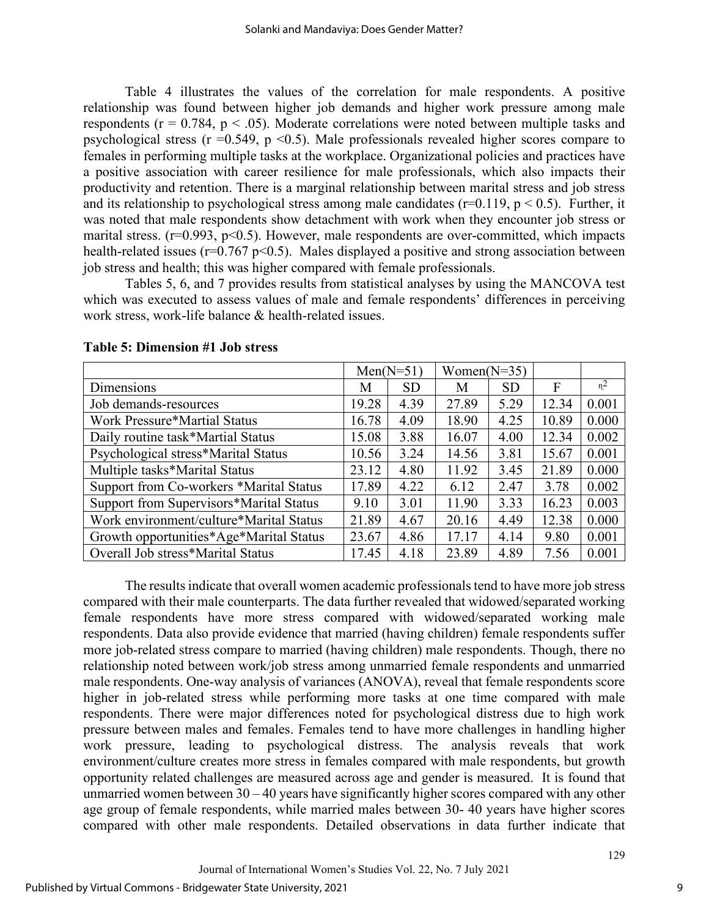Table 4 illustrates the values of the correlation for male respondents. A positive relationship was found between higher job demands and higher work pressure among male respondents ( $r = 0.784$ ,  $p < .05$ ). Moderate correlations were noted between multiple tasks and psychological stress ( $r = 0.549$ ,  $p \le 0.5$ ). Male professionals revealed higher scores compare to females in performing multiple tasks at the workplace. Organizational policies and practices have a positive association with career resilience for male professionals, which also impacts their productivity and retention. There is a marginal relationship between marital stress and job stress and its relationship to psychological stress among male candidates ( $r=0.119$ ,  $p < 0.5$ ). Further, it was noted that male respondents show detachment with work when they encounter job stress or marital stress. ( $r=0.993$ ,  $p<0.5$ ). However, male respondents are over-committed, which impacts health-related issues ( $r=0.767 \text{ p} < 0.5$ ). Males displayed a positive and strong association between job stress and health; this was higher compared with female professionals.

Tables 5, 6, and 7 provides results from statistical analyses by using the MANCOVA test which was executed to assess values of male and female respondents' differences in perceiving work stress, work-life balance & health-related issues.

|                                         |       | $Men(N=51)$ | Women( $N=35$ ) |           |       |       |
|-----------------------------------------|-------|-------------|-----------------|-----------|-------|-------|
| Dimensions                              | M     | <b>SD</b>   | М               | <b>SD</b> | F     | $n^2$ |
| Job demands-resources                   | 19.28 | 4.39        | 27.89           | 5.29      | 12.34 | 0.001 |
| <b>Work Pressure*Martial Status</b>     | 16.78 | 4.09        | 18.90           | 4.25      | 10.89 | 0.000 |
| Daily routine task*Martial Status       | 15.08 | 3.88        | 16.07           | 4.00      | 12.34 | 0.002 |
| Psychological stress*Marital Status     | 10.56 | 3.24        | 14.56           | 3.81      | 15.67 | 0.001 |
| Multiple tasks*Marital Status           | 23.12 | 4.80        | 11.92           | 3.45      | 21.89 | 0.000 |
| Support from Co-workers *Marital Status | 17.89 | 4.22        | 6.12            | 2.47      | 3.78  | 0.002 |
| Support from Supervisors*Marital Status | 9.10  | 3.01        | 11.90           | 3.33      | 16.23 | 0.003 |
| Work environment/culture*Marital Status | 21.89 | 4.67        | 20.16           | 4.49      | 12.38 | 0.000 |
| Growth opportunities*Age*Marital Status | 23.67 | 4.86        | 17.17           | 4.14      | 9.80  | 0.001 |
| Overall Job stress*Marital Status       | 17.45 | 4.18        | 23.89           | 4.89      | 7.56  | 0.001 |

#### **Table 5: Dimension #1 Job stress**

The results indicate that overall women academic professionals tend to have more job stress compared with their male counterparts. The data further revealed that widowed/separated working female respondents have more stress compared with widowed/separated working male respondents. Data also provide evidence that married (having children) female respondents suffer more job-related stress compare to married (having children) male respondents. Though, there no relationship noted between work/job stress among unmarried female respondents and unmarried male respondents. One-way analysis of variances (ANOVA), reveal that female respondents score higher in job-related stress while performing more tasks at one time compared with male respondents. There were major differences noted for psychological distress due to high work pressure between males and females. Females tend to have more challenges in handling higher work pressure, leading to psychological distress. The analysis reveals that work environment/culture creates more stress in females compared with male respondents, but growth opportunity related challenges are measured across age and gender is measured. It is found that unmarried women between  $30 - 40$  years have significantly higher scores compared with any other age group of female respondents, while married males between 30- 40 years have higher scores compared with other male respondents. Detailed observations in data further indicate that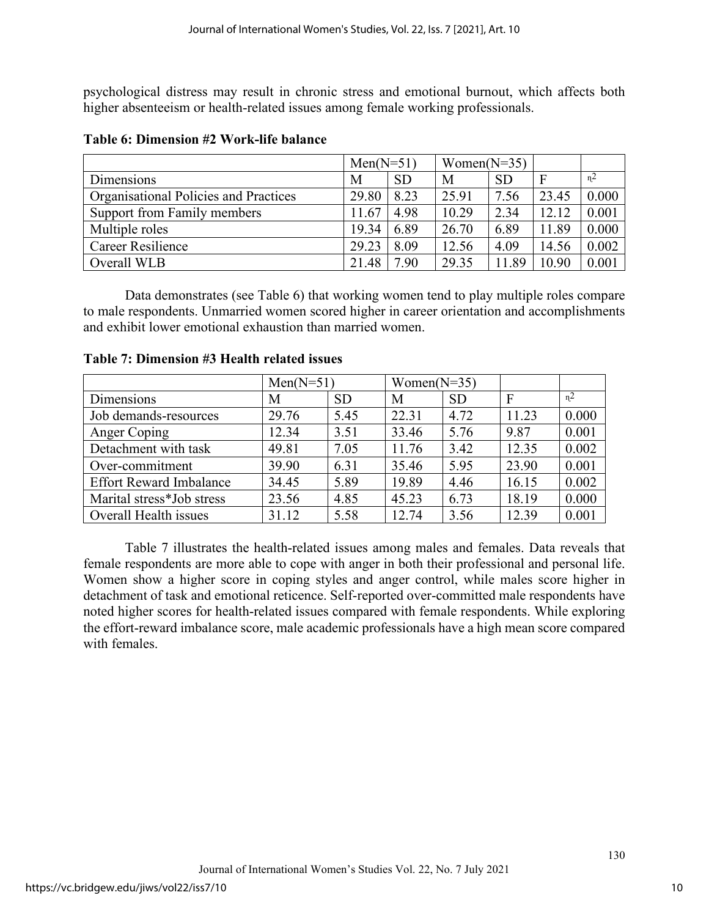psychological distress may result in chronic stress and emotional burnout, which affects both higher absenteeism or health-related issues among female working professionals.

|                                       | $Men(N=51)$ |           | Women( $N=35$ ) |           |       |       |
|---------------------------------------|-------------|-----------|-----------------|-----------|-------|-------|
| Dimensions                            | M           | <b>SD</b> | M               | <b>SD</b> |       | $n^2$ |
| Organisational Policies and Practices | 29.80       | 8.23      | 25.91           | 7.56      | 23.45 | 0.000 |
| Support from Family members           | 11.67       | 4.98      | 10.29           | 2.34      | 12.12 | 0.001 |
| Multiple roles                        | 19.34       | 6.89      | 26.70           | 6.89      | 11.89 | 0.000 |
| <b>Career Resilience</b>              | 29.23       | 8.09      | 12.56           | 4.09      | 14.56 | 0.002 |
| Overall WLB                           | 21.48       | 7.90      | 29.35           | 11.89     | 10.90 | 0.001 |

#### **Table 6: Dimension #2 Work-life balance**

Data demonstrates (see Table 6) that working women tend to play multiple roles compare to male respondents. Unmarried women scored higher in career orientation and accomplishments and exhibit lower emotional exhaustion than married women.

|                                | $Men(N=51)$ |           | Women( $N=35$ ) |           |       |       |
|--------------------------------|-------------|-----------|-----------------|-----------|-------|-------|
| Dimensions                     | М           | <b>SD</b> | M               | <b>SD</b> | F     | $n^2$ |
| Job demands-resources          | 29.76       | 5.45      | 22.31           | 4.72      | 11.23 | 0.000 |
| Anger Coping                   | 12.34       | 3.51      | 33.46           | 5.76      | 9.87  | 0.001 |
| Detachment with task           | 49.81       | 7.05      | 11.76           | 3.42      | 12.35 | 0.002 |
| Over-commitment                | 39.90       | 6.31      | 35.46           | 5.95      | 23.90 | 0.001 |
| <b>Effort Reward Imbalance</b> | 34.45       | 5.89      | 19.89           | 4.46      | 16.15 | 0.002 |
| Marital stress*Job stress      | 23.56       | 4.85      | 45.23           | 6.73      | 18.19 | 0.000 |
| Overall Health issues          | 31.12       | 5.58      | 12.74           | 3.56      | 12.39 | 0.001 |

#### **Table 7: Dimension #3 Health related issues**

Table 7 illustrates the health-related issues among males and females. Data reveals that female respondents are more able to cope with anger in both their professional and personal life. Women show a higher score in coping styles and anger control, while males score higher in detachment of task and emotional reticence. Self-reported over-committed male respondents have noted higher scores for health-related issues compared with female respondents. While exploring the effort-reward imbalance score, male academic professionals have a high mean score compared with females.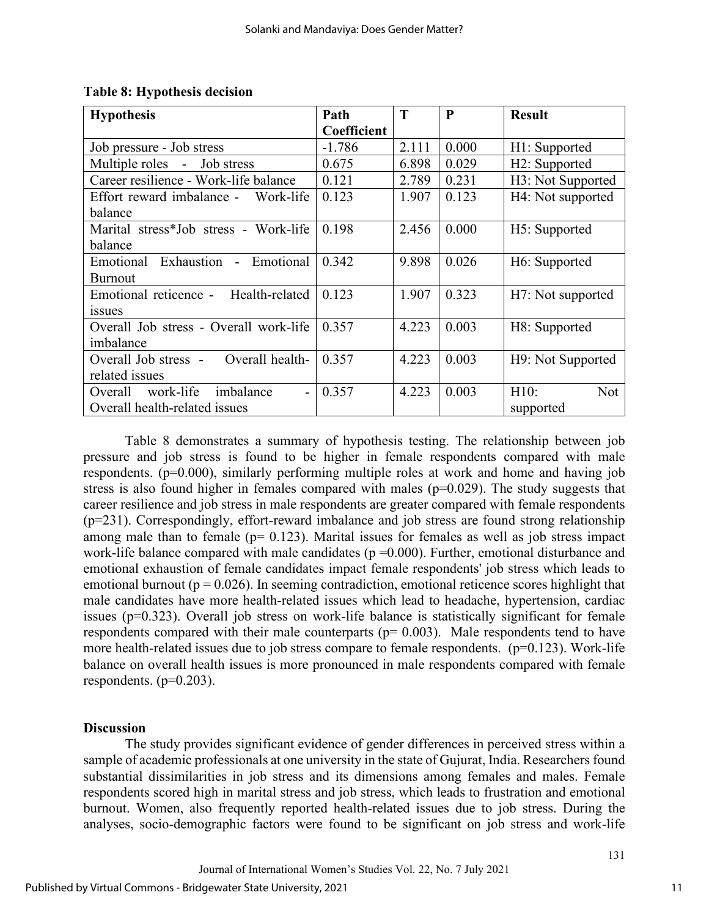| <b>Hypothesis</b>                                   | Path        | T     | P     | <b>Result</b>              |
|-----------------------------------------------------|-------------|-------|-------|----------------------------|
|                                                     | Coefficient |       |       |                            |
| Job pressure - Job stress                           | $-1.786$    | 2.111 | 0.000 | H1: Supported              |
| Multiple roles - Job stress                         | 0.675       | 6.898 | 0.029 | H <sub>2</sub> : Supported |
| Career resilience - Work-life balance               | 0.121       | 2.789 | 0.231 | H3: Not Supported          |
| Effort reward imbalance -<br>Work-life              | 0.123       | 1.907 | 0.123 | H4: Not supported          |
| balance                                             |             |       |       |                            |
| Marital stress*Job stress - Work-life               | 0.198       | 2.456 | 0.000 | H5: Supported              |
| balance                                             |             |       |       |                            |
| Emotional Exhaustion - Emotional                    | 0.342       | 9.898 | 0.026 | H6: Supported              |
| <b>Burnout</b>                                      |             |       |       |                            |
| Health-related<br>Emotional reticence -             | 0.123       | 1.907 | 0.323 | H7: Not supported          |
| 1SSU <sub>es</sub>                                  |             |       |       |                            |
| Overall Job stress - Overall work-life              | 0.357       | 4.223 | 0.003 | H8: Supported              |
| imbalance                                           |             |       |       |                            |
| Overall health-<br>Overall Job stress -             | 0.357       | 4.223 | 0.003 | H9: Not Supported          |
| related issues                                      |             |       |       |                            |
| work-life<br>imbalance<br>Overall<br>$\blacksquare$ | 0.357       | 4.223 | 0.003 | H10:<br><b>Not</b>         |
| Overall health-related issues                       |             |       |       | supported                  |

Table 8 demonstrates a summary of hypothesis testing. The relationship between job pressure and job stress is found to be higher in female respondents compared with male respondents. (p=0.000), similarly performing multiple roles at work and home and having job stress is also found higher in females compared with males ( $p=0.029$ ). The study suggests that career resilience and job stress in male respondents are greater compared with female respondents (p=231). Correspondingly, effort-reward imbalance and job stress are found strong relationship among male than to female ( $p= 0.123$ ). Marital issues for females as well as job stress impact work-life balance compared with male candidates ( $p = 0.000$ ). Further, emotional disturbance and emotional exhaustion of female candidates impact female respondents' job stress which leads to emotional burnout ( $p = 0.026$ ). In seeming contradiction, emotional reticence scores highlight that male candidates have more health-related issues which lead to headache, hypertension, cardiac issues (p=0.323). Overall job stress on work-life balance is statistically significant for female respondents compared with their male counterparts ( $p= 0.003$ ). Male respondents tend to have more health-related issues due to job stress compare to female respondents.  $(p=0.123)$ . Work-life balance on overall health issues is more pronounced in male respondents compared with female respondents.  $(p=0.203)$ .

#### **Discussion**

The study provides significant evidence of gender differences in perceived stress within a sample of academic professionals at one university in the state of Gujurat, India. Researchers found substantial dissimilarities in job stress and its dimensions among females and males. Female respondents scored high in marital stress and job stress, which leads to frustration and emotional burnout. Women, also frequently reported health-related issues due to job stress. During the analyses, socio-demographic factors were found to be significant on job stress and work-life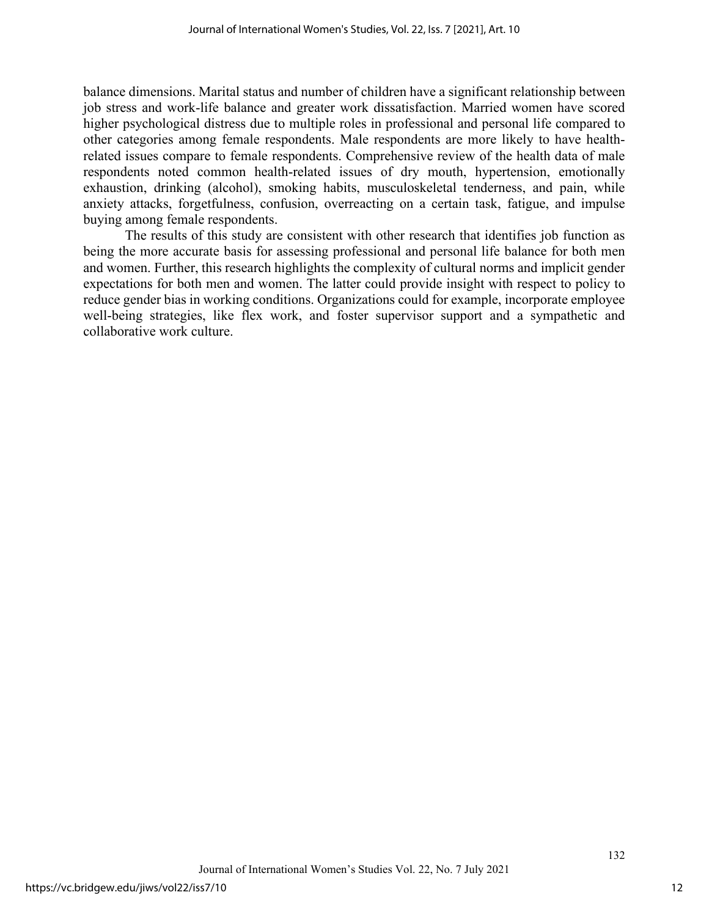balance dimensions. Marital status and number of children have a significant relationship between job stress and work-life balance and greater work dissatisfaction. Married women have scored higher psychological distress due to multiple roles in professional and personal life compared to other categories among female respondents. Male respondents are more likely to have healthrelated issues compare to female respondents. Comprehensive review of the health data of male respondents noted common health-related issues of dry mouth, hypertension, emotionally exhaustion, drinking (alcohol), smoking habits, musculoskeletal tenderness, and pain, while anxiety attacks, forgetfulness, confusion, overreacting on a certain task, fatigue, and impulse buying among female respondents.

The results of this study are consistent with other research that identifies job function as being the more accurate basis for assessing professional and personal life balance for both men and women. Further, this research highlights the complexity of cultural norms and implicit gender expectations for both men and women. The latter could provide insight with respect to policy to reduce gender bias in working conditions. Organizations could for example, incorporate employee well-being strategies, like flex work, and foster supervisor support and a sympathetic and collaborative work culture.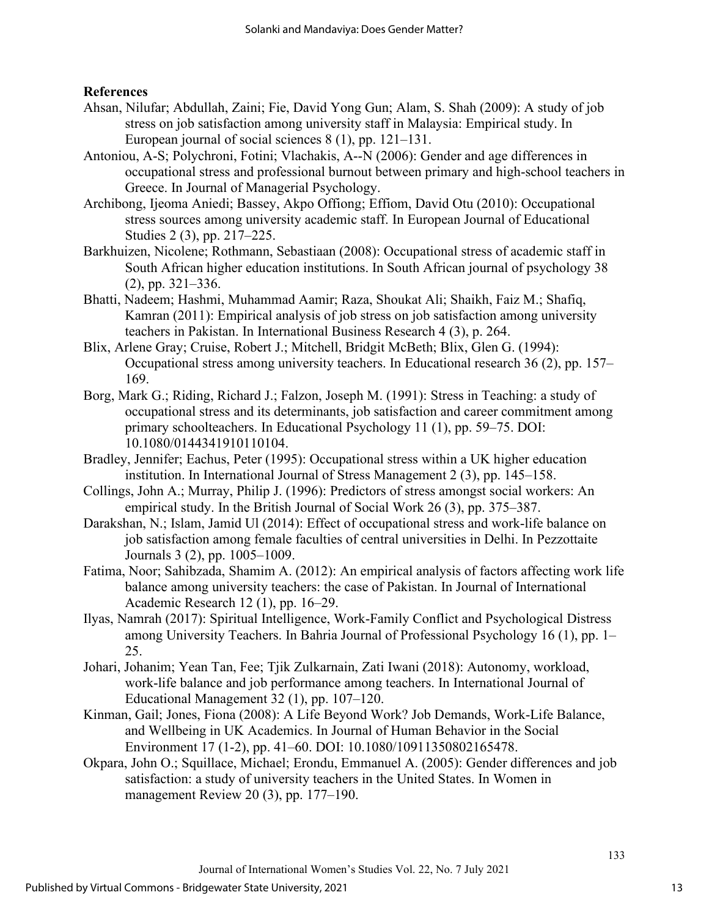### **References**

- Ahsan, Nilufar; Abdullah, Zaini; Fie, David Yong Gun; Alam, S. Shah (2009): A study of job stress on job satisfaction among university staff in Malaysia: Empirical study. In European journal of social sciences 8 (1), pp. 121–131.
- Antoniou, A-S; Polychroni, Fotini; Vlachakis, A--N (2006): Gender and age differences in occupational stress and professional burnout between primary and high‐school teachers in Greece. In Journal of Managerial Psychology.
- Archibong, Ijeoma Aniedi; Bassey, Akpo Offiong; Effiom, David Otu (2010): Occupational stress sources among university academic staff. In European Journal of Educational Studies 2 (3), pp. 217–225.
- Barkhuizen, Nicolene; Rothmann, Sebastiaan (2008): Occupational stress of academic staff in South African higher education institutions. In South African journal of psychology 38 (2), pp. 321–336.
- Bhatti, Nadeem; Hashmi, Muhammad Aamir; Raza, Shoukat Ali; Shaikh, Faiz M.; Shafiq, Kamran (2011): Empirical analysis of job stress on job satisfaction among university teachers in Pakistan. In International Business Research 4 (3), p. 264.
- Blix, Arlene Gray; Cruise, Robert J.; Mitchell, Bridgit McBeth; Blix, Glen G. (1994): Occupational stress among university teachers. In Educational research 36 (2), pp. 157– 169.
- Borg, Mark G.; Riding, Richard J.; Falzon, Joseph M. (1991): Stress in Teaching: a study of occupational stress and its determinants, job satisfaction and career commitment among primary schoolteachers. In Educational Psychology 11 (1), pp. 59–75. DOI: 10.1080/0144341910110104.
- Bradley, Jennifer; Eachus, Peter (1995): Occupational stress within a UK higher education institution. In International Journal of Stress Management 2 (3), pp. 145–158.
- Collings, John A.; Murray, Philip J. (1996): Predictors of stress amongst social workers: An empirical study. In the British Journal of Social Work 26 (3), pp. 375–387.
- Darakshan, N.; Islam, Jamid Ul (2014): Effect of occupational stress and work-life balance on job satisfaction among female faculties of central universities in Delhi. In Pezzottaite Journals 3 (2), pp. 1005–1009.
- Fatima, Noor; Sahibzada, Shamim A. (2012): An empirical analysis of factors affecting work life balance among university teachers: the case of Pakistan. In Journal of International Academic Research 12 (1), pp. 16–29.
- Ilyas, Namrah (2017): Spiritual Intelligence, Work-Family Conflict and Psychological Distress among University Teachers. In Bahria Journal of Professional Psychology 16 (1), pp. 1– 25.
- Johari, Johanim; Yean Tan, Fee; Tjik Zulkarnain, Zati Iwani (2018): Autonomy, workload, work-life balance and job performance among teachers. In International Journal of Educational Management 32 (1), pp. 107–120.
- Kinman, Gail; Jones, Fiona (2008): A Life Beyond Work? Job Demands, Work-Life Balance, and Wellbeing in UK Academics. In Journal of Human Behavior in the Social Environment 17 (1-2), pp. 41–60. DOI: 10.1080/10911350802165478.
- Okpara, John O.; Squillace, Michael; Erondu, Emmanuel A. (2005): Gender differences and job satisfaction: a study of university teachers in the United States. In Women in management Review 20 (3), pp. 177–190.